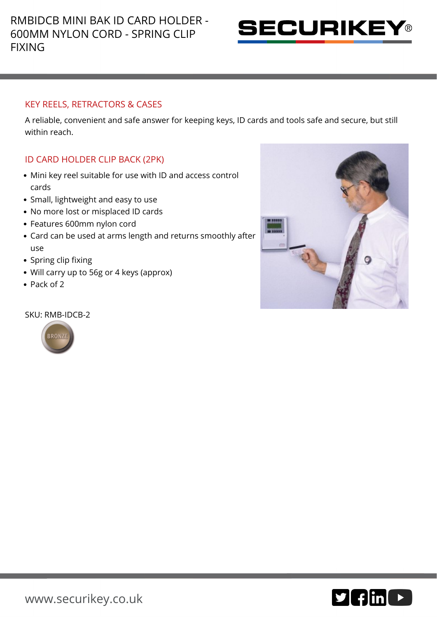

# KEY REELS, RETRACTORS & CASES

A reliable, convenient and safe answer for keeping keys, ID cards and tools safe and secure, but still within reach.

# ID CARD HOLDER CLIP BACK (2PK)

- Mini key reel suitable for use with ID and access control cards
- Small, lightweight and easy to use
- No more lost or misplaced ID cards
- Features 600mm nylon cord
- Card can be used at arms length and returns smoothly after use
- Spring clip fixing
- Will carry up to 56g or 4 keys (approx)
- Pack of 2

### SKU: RMB-IDCB-2



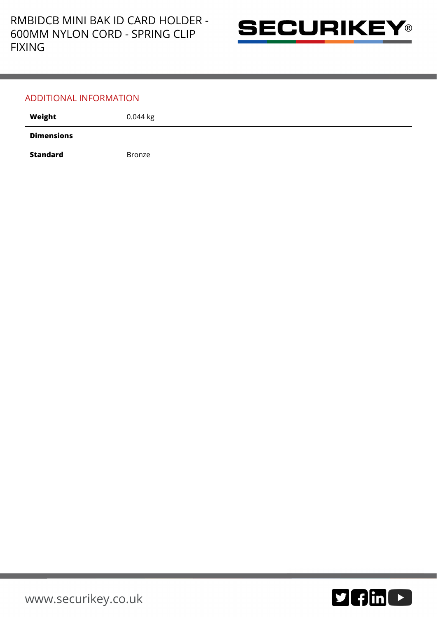

### ADDITIONAL INFORMATION

| Weight            | $0.044$ kg |
|-------------------|------------|
| <b>Dimensions</b> |            |
| <b>Standard</b>   | Bronze     |

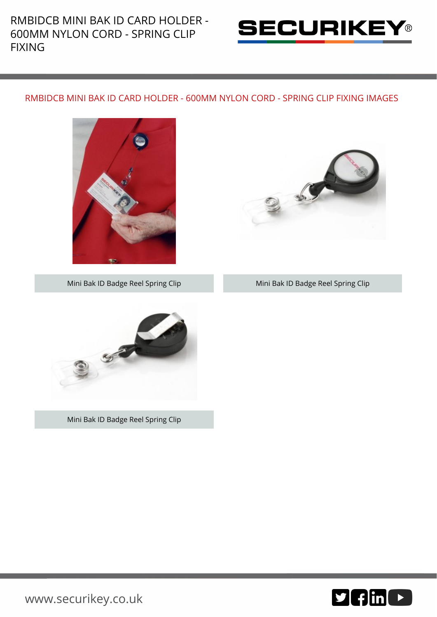RMBIDCB MINI BAK ID CARD HOLDER - 600MM NYLON CORD - SPRING CLIP FIXING



## RMBIDCB MINI BAK ID CARD HOLDER - 600MM NYLON CORD - SPRING CLIP FIXING IMAGES





### Mini Bak ID Badge Reel Spring Clip Mini Bak ID Badge Reel Spring Clip



Mini Bak ID Badge Reel Spring Clip



[www.securikey.co.uk](http://www.securikey.co.uk/)